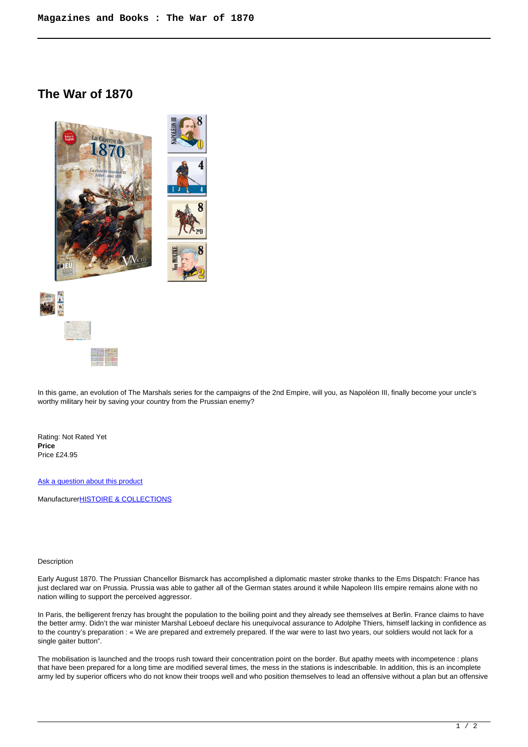## **The War of 1870**



In this game, an evolution of The Marshals series for the campaigns of the 2nd Empire, will you, as Napoléon III, finally become your uncle's worthy military heir by saving your country from the Prussian enemy?

Rating: Not Rated Yet **Price**  Price £24.95

[Ask a question about this product](https://www.secondchancegames.com/index.php?option=com_virtuemart&view=productdetails&task=askquestion&virtuemart_product_id=12458&virtuemart_category_id=25&tmpl=component)

Manufacturer**[HISTOIRE & COLLECTIONS](https://www.secondchancegames.com/index.php?option=com_virtuemart&view=manufacturer&virtuemart_manufacturer_id=2533&tmpl=component)** 

## Description

Early August 1870. The Prussian Chancellor Bismarck has accomplished a diplomatic master stroke thanks to the Ems Dispatch: France has just declared war on Prussia. Prussia was able to gather all of the German states around it while Napoleon IIIs empire remains alone with no nation willing to support the perceived aggressor.

In Paris, the belligerent frenzy has brought the population to the boiling point and they already see themselves at Berlin. France claims to have the better army. Didn't the war minister Marshal Leboeuf declare his unequivocal assurance to Adolphe Thiers, himself lacking in confidence as to the country's preparation : « We are prepared and extremely prepared. If the war were to last two years, our soldiers would not lack for a single gaiter button".

The mobilisation is launched and the troops rush toward their concentration point on the border. But apathy meets with incompetence : plans that have been prepared for a long time are modified several times, the mess in the stations is indescribable. In addition, this is an incomplete army led by superior officers who do not know their troops well and who position themselves to lead an offensive without a plan but an offensive